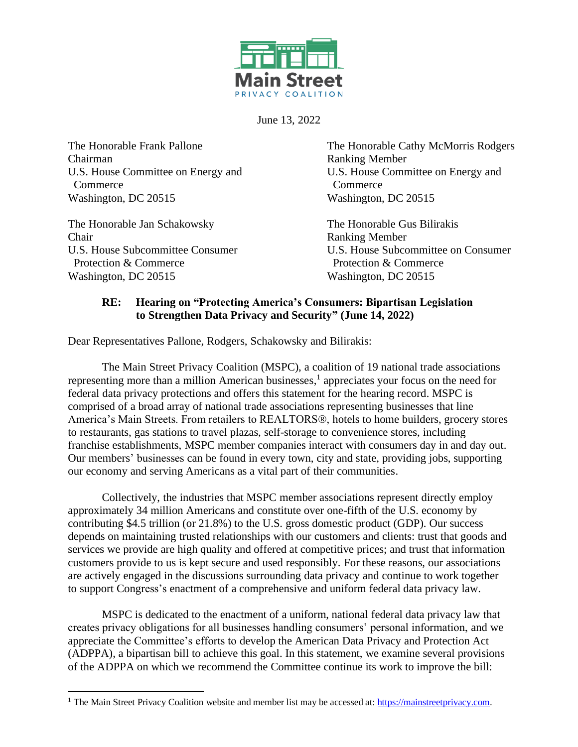

June 13, 2022

Chairman Ranking Member U.S. House Committee on Energy and U.S. House Committee on Energy and Commerce Commerce Washington, DC 20515 Washington, DC 20515

The Honorable Jan Schakowsky The Honorable Gus Bilirakis Chair Ranking Member Protection & Commerce **Protection & Commerce** Protection & Commerce Washington, DC 20515 Washington, DC 20515

The Honorable Frank Pallone The Honorable Cathy McMorris Rodgers

U.S. House Subcommittee Consumer U.S. House Subcommittee on Consumer

## **RE: Hearing on "Protecting America's Consumers: Bipartisan Legislation to Strengthen Data Privacy and Security" (June 14, 2022)**

Dear Representatives Pallone, Rodgers, Schakowsky and Bilirakis:

The Main Street Privacy Coalition (MSPC), a coalition of 19 national trade associations representing more than a million American businesses,<sup>1</sup> appreciates your focus on the need for federal data privacy protections and offers this statement for the hearing record. MSPC is comprised of a broad array of national trade associations representing businesses that line America's Main Streets. From retailers to REALTORS®, hotels to home builders, grocery stores to restaurants, gas stations to travel plazas, self-storage to convenience stores, including franchise establishments, MSPC member companies interact with consumers day in and day out. Our members' businesses can be found in every town, city and state, providing jobs, supporting our economy and serving Americans as a vital part of their communities.

Collectively, the industries that MSPC member associations represent directly employ approximately 34 million Americans and constitute over one-fifth of the U.S. economy by contributing \$4.5 trillion (or 21.8%) to the U.S. gross domestic product (GDP). Our success depends on maintaining trusted relationships with our customers and clients: trust that goods and services we provide are high quality and offered at competitive prices; and trust that information customers provide to us is kept secure and used responsibly. For these reasons, our associations are actively engaged in the discussions surrounding data privacy and continue to work together to support Congress's enactment of a comprehensive and uniform federal data privacy law.

MSPC is dedicated to the enactment of a uniform, national federal data privacy law that creates privacy obligations for all businesses handling consumers' personal information, and we appreciate the Committee's efforts to develop the American Data Privacy and Protection Act (ADPPA), a bipartisan bill to achieve this goal. In this statement, we examine several provisions of the ADPPA on which we recommend the Committee continue its work to improve the bill:

<sup>&</sup>lt;sup>1</sup> The Main Street Privacy Coalition website and member list may be accessed at[: https://mainstreetprivacy.com.](https://mainstreetprivacy.com/)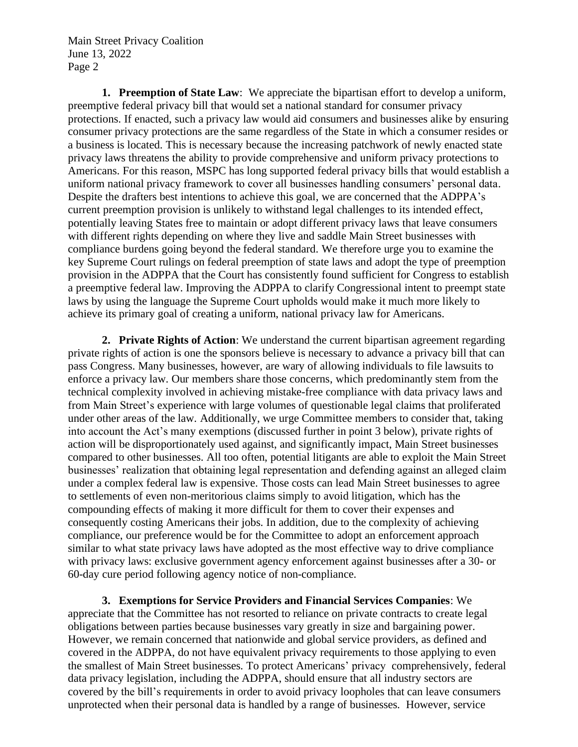Main Street Privacy Coalition June 13, 2022 Page 2

**1. Preemption of State Law**: We appreciate the bipartisan effort to develop a uniform, preemptive federal privacy bill that would set a national standard for consumer privacy protections. If enacted, such a privacy law would aid consumers and businesses alike by ensuring consumer privacy protections are the same regardless of the State in which a consumer resides or a business is located. This is necessary because the increasing patchwork of newly enacted state privacy laws threatens the ability to provide comprehensive and uniform privacy protections to Americans. For this reason, MSPC has long supported federal privacy bills that would establish a uniform national privacy framework to cover all businesses handling consumers' personal data. Despite the drafters best intentions to achieve this goal, we are concerned that the ADPPA's current preemption provision is unlikely to withstand legal challenges to its intended effect, potentially leaving States free to maintain or adopt different privacy laws that leave consumers with different rights depending on where they live and saddle Main Street businesses with compliance burdens going beyond the federal standard. We therefore urge you to examine the key Supreme Court rulings on federal preemption of state laws and adopt the type of preemption provision in the ADPPA that the Court has consistently found sufficient for Congress to establish a preemptive federal law. Improving the ADPPA to clarify Congressional intent to preempt state laws by using the language the Supreme Court upholds would make it much more likely to achieve its primary goal of creating a uniform, national privacy law for Americans.

**2. Private Rights of Action**: We understand the current bipartisan agreement regarding private rights of action is one the sponsors believe is necessary to advance a privacy bill that can pass Congress. Many businesses, however, are wary of allowing individuals to file lawsuits to enforce a privacy law. Our members share those concerns, which predominantly stem from the technical complexity involved in achieving mistake-free compliance with data privacy laws and from Main Street's experience with large volumes of questionable legal claims that proliferated under other areas of the law. Additionally, we urge Committee members to consider that, taking into account the Act's many exemptions (discussed further in point 3 below), private rights of action will be disproportionately used against, and significantly impact, Main Street businesses compared to other businesses. All too often, potential litigants are able to exploit the Main Street businesses' realization that obtaining legal representation and defending against an alleged claim under a complex federal law is expensive. Those costs can lead Main Street businesses to agree to settlements of even non-meritorious claims simply to avoid litigation, which has the compounding effects of making it more difficult for them to cover their expenses and consequently costing Americans their jobs. In addition, due to the complexity of achieving compliance, our preference would be for the Committee to adopt an enforcement approach similar to what state privacy laws have adopted as the most effective way to drive compliance with privacy laws: exclusive government agency enforcement against businesses after a 30- or 60-day cure period following agency notice of non-compliance.

**3. Exemptions for Service Providers and Financial Services Companies**: We appreciate that the Committee has not resorted to reliance on private contracts to create legal obligations between parties because businesses vary greatly in size and bargaining power. However, we remain concerned that nationwide and global service providers, as defined and covered in the ADPPA, do not have equivalent privacy requirements to those applying to even the smallest of Main Street businesses. To protect Americans' privacy comprehensively, federal data privacy legislation, including the ADPPA, should ensure that all industry sectors are covered by the bill's requirements in order to avoid privacy loopholes that can leave consumers unprotected when their personal data is handled by a range of businesses. However, service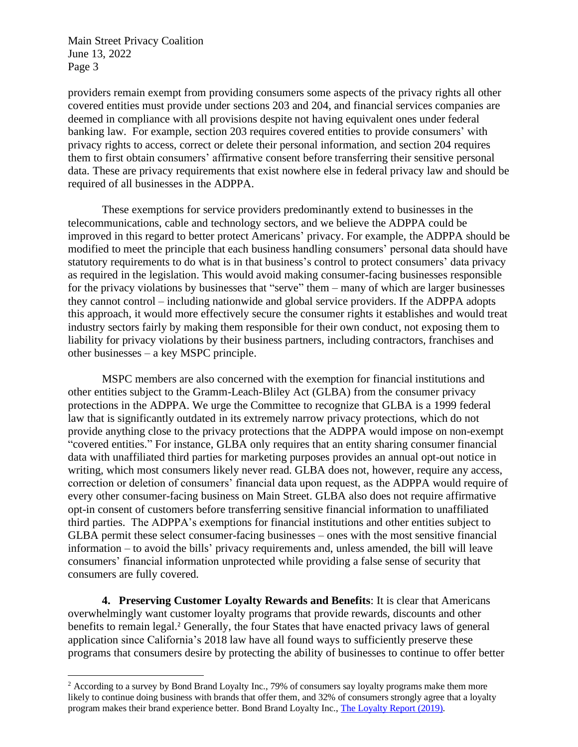Main Street Privacy Coalition June 13, 2022 Page 3

providers remain exempt from providing consumers some aspects of the privacy rights all other covered entities must provide under sections 203 and 204, and financial services companies are deemed in compliance with all provisions despite not having equivalent ones under federal banking law. For example, section 203 requires covered entities to provide consumers' with privacy rights to access, correct or delete their personal information, and section 204 requires them to first obtain consumers' affirmative consent before transferring their sensitive personal data. These are privacy requirements that exist nowhere else in federal privacy law and should be required of all businesses in the ADPPA.

These exemptions for service providers predominantly extend to businesses in the telecommunications, cable and technology sectors, and we believe the ADPPA could be improved in this regard to better protect Americans' privacy. For example, the ADPPA should be modified to meet the principle that each business handling consumers' personal data should have statutory requirements to do what is in that business's control to protect consumers' data privacy as required in the legislation. This would avoid making consumer-facing businesses responsible for the privacy violations by businesses that "serve" them – many of which are larger businesses they cannot control – including nationwide and global service providers. If the ADPPA adopts this approach, it would more effectively secure the consumer rights it establishes and would treat industry sectors fairly by making them responsible for their own conduct, not exposing them to liability for privacy violations by their business partners, including contractors, franchises and other businesses – a key MSPC principle.

MSPC members are also concerned with the exemption for financial institutions and other entities subject to the Gramm-Leach-Bliley Act (GLBA) from the consumer privacy protections in the ADPPA. We urge the Committee to recognize that GLBA is a 1999 federal law that is significantly outdated in its extremely narrow privacy protections, which do not provide anything close to the privacy protections that the ADPPA would impose on non-exempt "covered entities." For instance, GLBA only requires that an entity sharing consumer financial data with unaffiliated third parties for marketing purposes provides an annual opt-out notice in writing, which most consumers likely never read. GLBA does not, however, require any access, correction or deletion of consumers' financial data upon request, as the ADPPA would require of every other consumer-facing business on Main Street. GLBA also does not require affirmative opt-in consent of customers before transferring sensitive financial information to unaffiliated third parties. The ADPPA's exemptions for financial institutions and other entities subject to GLBA permit these select consumer-facing businesses – ones with the most sensitive financial information – to avoid the bills' privacy requirements and, unless amended, the bill will leave consumers' financial information unprotected while providing a false sense of security that consumers are fully covered.

**4. Preserving Customer Loyalty Rewards and Benefits**: It is clear that Americans overwhelmingly want customer loyalty programs that provide rewards, discounts and other benefits to remain legal.<sup>2</sup> Generally, the four States that have enacted privacy laws of general application since California's 2018 law have all found ways to sufficiently preserve these programs that consumers desire by protecting the ability of businesses to continue to offer better

<sup>&</sup>lt;sup>2</sup> According to a survey by Bond Brand Loyalty Inc., 79% of consumers say loyalty programs make them more likely to continue doing business with brands that offer them, and 32% of consumers strongly agree that a loyalty program makes their brand experience better. Bond Brand Loyalty Inc., [The Loyalty Report](https://cdn2.hubspot.net/hubfs/352767/TLR%202019/Bond_US%20TLR19%20Exec%20Summary%20Launch%20Edition.pdf) (2019).